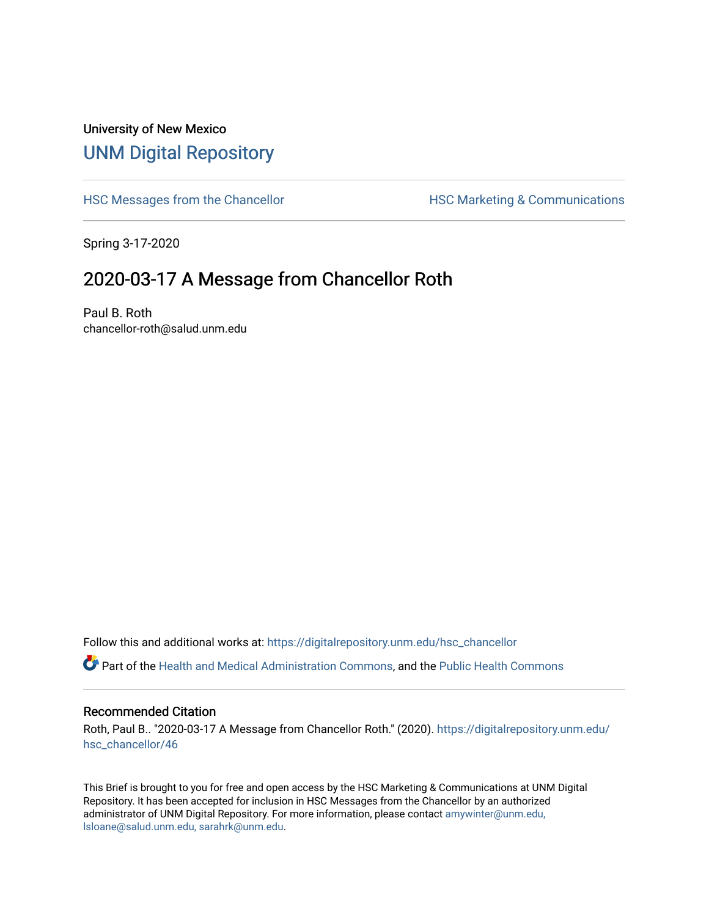## University of New Mexico [UNM Digital Repository](https://digitalrepository.unm.edu/)

[HSC Messages from the Chancellor](https://digitalrepository.unm.edu/hsc_chancellor) **HSC Marketing & Communications** 

Spring 3-17-2020

## 2020-03-17 A Message from Chancellor Roth

Paul B. Roth chancellor-roth@salud.unm.edu

Follow this and additional works at: [https://digitalrepository.unm.edu/hsc\\_chancellor](https://digitalrepository.unm.edu/hsc_chancellor?utm_source=digitalrepository.unm.edu%2Fhsc_chancellor%2F46&utm_medium=PDF&utm_campaign=PDFCoverPages) 

Part of the [Health and Medical Administration Commons](http://network.bepress.com/hgg/discipline/663?utm_source=digitalrepository.unm.edu%2Fhsc_chancellor%2F46&utm_medium=PDF&utm_campaign=PDFCoverPages), and the [Public Health Commons](http://network.bepress.com/hgg/discipline/738?utm_source=digitalrepository.unm.edu%2Fhsc_chancellor%2F46&utm_medium=PDF&utm_campaign=PDFCoverPages) 

## Recommended Citation

Roth, Paul B.. "2020-03-17 A Message from Chancellor Roth." (2020). [https://digitalrepository.unm.edu/](https://digitalrepository.unm.edu/hsc_chancellor/46?utm_source=digitalrepository.unm.edu%2Fhsc_chancellor%2F46&utm_medium=PDF&utm_campaign=PDFCoverPages) [hsc\\_chancellor/46](https://digitalrepository.unm.edu/hsc_chancellor/46?utm_source=digitalrepository.unm.edu%2Fhsc_chancellor%2F46&utm_medium=PDF&utm_campaign=PDFCoverPages) 

This Brief is brought to you for free and open access by the HSC Marketing & Communications at UNM Digital Repository. It has been accepted for inclusion in HSC Messages from the Chancellor by an authorized administrator of UNM Digital Repository. For more information, please contact [amywinter@unm.edu,](mailto:amywinter@unm.edu,%20lsloane@salud.unm.edu,%20sarahrk@unm.edu) [lsloane@salud.unm.edu, sarahrk@unm.edu.](mailto:amywinter@unm.edu,%20lsloane@salud.unm.edu,%20sarahrk@unm.edu)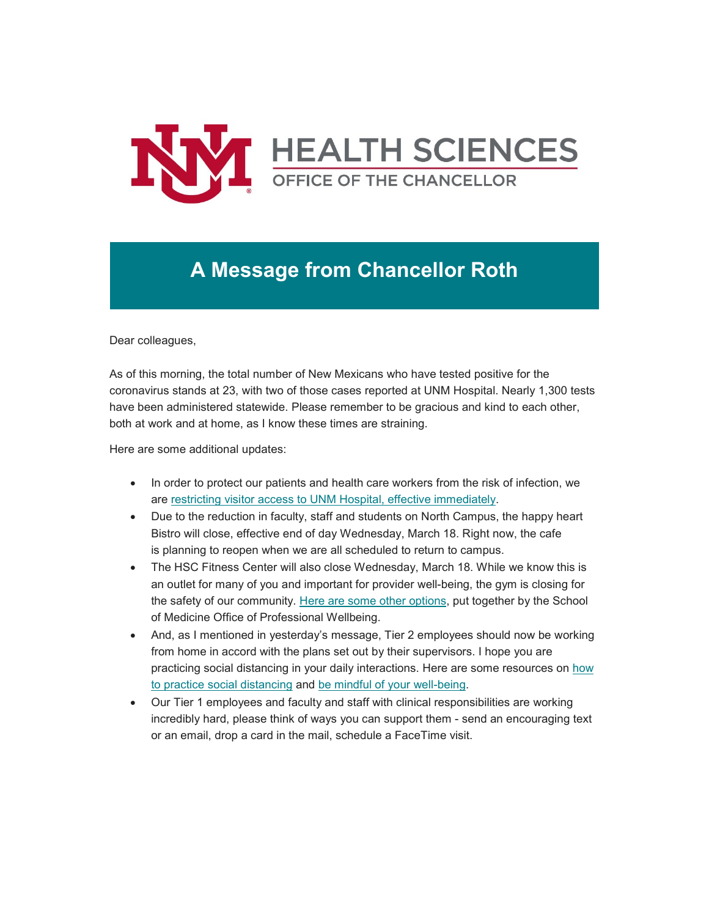

## **A Message from Chancellor Roth**

Dear colleagues,

As of this morning, the total number of New Mexicans who have tested positive for the coronavirus stands at 23, with two of those cases reported at UNM Hospital. Nearly 1,300 tests have been administered statewide. Please remember to be gracious and kind to each other, both at work and at home, as I know these times are straining.

Here are some additional updates:

- In order to protect our patients and health care workers from the risk of infection, we are [restricting visitor access to UNM Hospital, effective immediately.](https://unm.us19.list-manage.com/track/click?u=59ce53c1a4dedb490bac78648&id=cd5f46ed77&e=b4bbfca2c0)
- Due to the reduction in faculty, staff and students on North Campus, the happy heart Bistro will close, effective end of day Wednesday, March 18. Right now, the cafe is planning to reopen when we are all scheduled to return to campus.
- The HSC Fitness Center will also close Wednesday, March 18. While we know this is an outlet for many of you and important for provider well-being, the gym is closing for the safety of our community. [Here are some other options,](https://unm.us19.list-manage.com/track/click?u=59ce53c1a4dedb490bac78648&id=0b42cab3f5&e=b4bbfca2c0) put together by the School of Medicine Office of Professional Wellbeing.
- And, as I mentioned in yesterday's message, Tier 2 employees should now be working from home in accord with the plans set out by their supervisors. I hope you are practicing social distancing in your daily interactions. Here are some resources on how [to practice social distancing](https://unm.us19.list-manage.com/track/click?u=59ce53c1a4dedb490bac78648&id=38e3145752&e=b4bbfca2c0) and [be mindful of your well-being.](https://unm.us19.list-manage.com/track/click?u=59ce53c1a4dedb490bac78648&id=6a082f6809&e=b4bbfca2c0)
- Our Tier 1 employees and faculty and staff with clinical responsibilities are working incredibly hard, please think of ways you can support them - send an encouraging text or an email, drop a card in the mail, schedule a FaceTime visit.